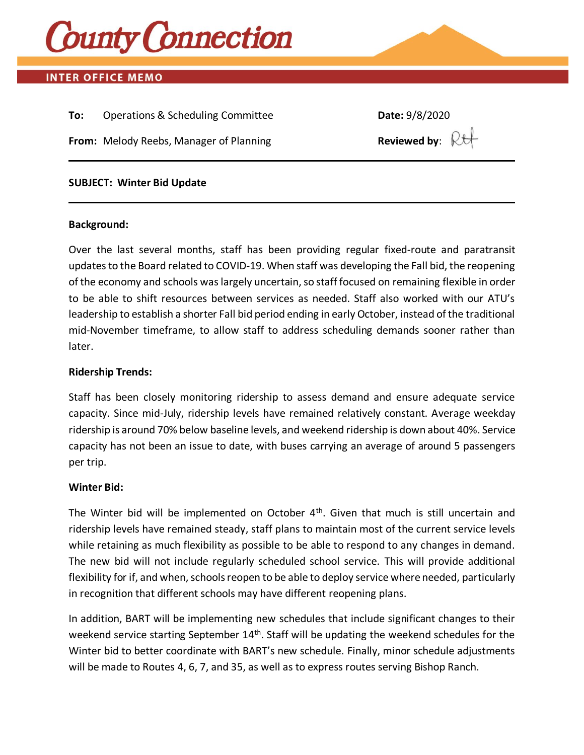

# **INTER OFFICE MEMO**

**To:** Operations & Scheduling Committee **Date:** 9/8/2020 **From:** Melody Reebs, Manager of Planning **Reviewed by:**  $\mathbb{R}$ 

### **SUBJECT: Winter Bid Update**

#### **Background:**

Over the last several months, staff has been providing regular fixed-route and paratransit updates to the Board related to COVID-19. When staff was developing the Fall bid, the reopening of the economy and schools was largely uncertain, so staff focused on remaining flexible in order to be able to shift resources between services as needed. Staff also worked with our ATU's leadership to establish a shorter Fall bid period ending in early October, instead of the traditional mid-November timeframe, to allow staff to address scheduling demands sooner rather than later.

#### **Ridership Trends:**

Staff has been closely monitoring ridership to assess demand and ensure adequate service capacity. Since mid-July, ridership levels have remained relatively constant. Average weekday ridership is around 70% below baseline levels, and weekend ridership is down about 40%. Service capacity has not been an issue to date, with buses carrying an average of around 5 passengers per trip.

#### **Winter Bid:**

The Winter bid will be implemented on October  $4<sup>th</sup>$ . Given that much is still uncertain and ridership levels have remained steady, staff plans to maintain most of the current service levels while retaining as much flexibility as possible to be able to respond to any changes in demand. The new bid will not include regularly scheduled school service. This will provide additional flexibility for if, and when, schools reopen to be able to deploy service where needed, particularly in recognition that different schools may have different reopening plans.

In addition, BART will be implementing new schedules that include significant changes to their weekend service starting September 14<sup>th</sup>. Staff will be updating the weekend schedules for the Winter bid to better coordinate with BART's new schedule. Finally, minor schedule adjustments will be made to Routes 4, 6, 7, and 35, as well as to express routes serving Bishop Ranch.